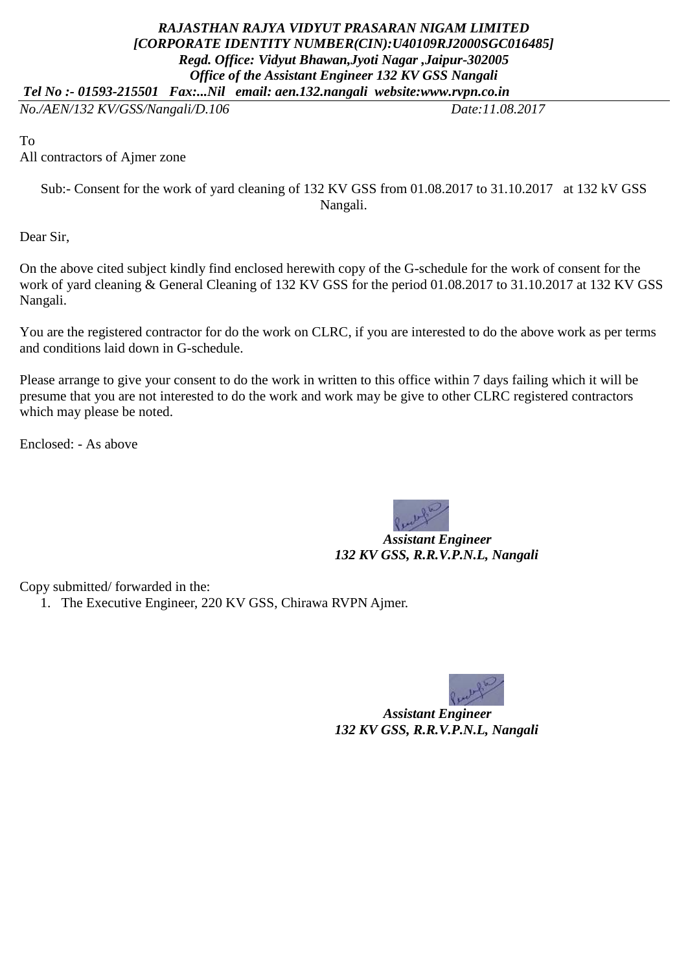## *RAJASTHAN RAJYA VIDYUT PRASARAN NIGAM LIMITED [CORPORATE IDENTITY NUMBER(CIN):U40109RJ2000SGC016485] Regd. Office: Vidyut Bhawan,Jyoti Nagar ,Jaipur-302005 Office of the Assistant Engineer 132 KV GSS Nangali Tel No :- 01593-215501 Fax:...Nil email: aen.132.nangali website:www.rvpn.co.in*

*No./AEN/132 KV/GSS/Nangali/D.106 Date:11.08.2017*

To

All contractors of Ajmer zone

Sub:- Consent for the work of yard cleaning of 132 KV GSS from 01.08.2017 to 31.10.2017 at 132 kV GSS Nangali.

Dear Sir,

On the above cited subject kindly find enclosed herewith copy of the G-schedule for the work of consent for the work of yard cleaning & General Cleaning of 132 KV GSS for the period 01.08.2017 to 31.10.2017 at 132 KV GSS Nangali.

You are the registered contractor for do the work on CLRC, if you are interested to do the above work as per terms and conditions laid down in G-schedule.

Please arrange to give your consent to do the work in written to this office within 7 days failing which it will be presume that you are not interested to do the work and work may be give to other CLRC registered contractors which may please be noted.

Enclosed: - As above



 *Assistant Engineer 132 KV GSS, R.R.V.P.N.L, Nangali*

Copy submitted/ forwarded in the:

1. The Executive Engineer, 220 KV GSS, Chirawa RVPN Ajmer.



 *Assistant Engineer 132 KV GSS, R.R.V.P.N.L, Nangali*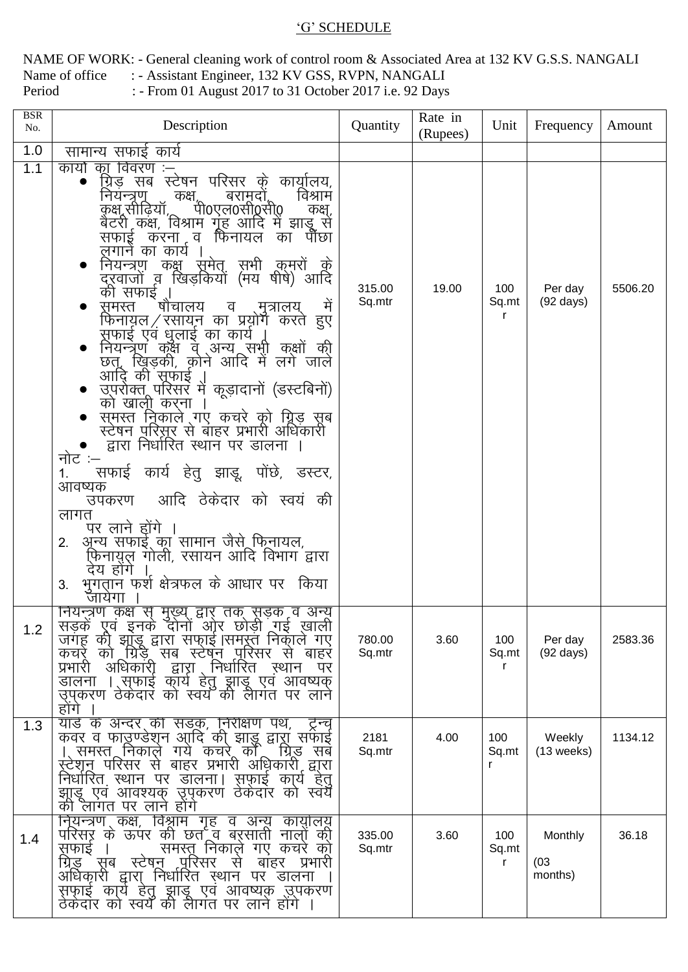## 'G' SCHEDULE

NAME OF WORK: - General cleaning work of control room & Associated Area at 132 KV G.S.S. NANGALI : - Assistant Engineer, 132 KV GSS, RVPN, NANGALI Name of office : - From 01 August 2017 to 31 October 2017 i.e. 92 Days Period

| <b>BSR</b><br>No. | Description                                                                                                                                                                                                                                                                                                                                                                                                                                                                                                                                                                                                                                                                                                                                                                                                                                                                                                                                                                                                                                                        | Quantity         | Rate in<br>(Rupees) | Unit              | Frequency                      | Amount  |
|-------------------|--------------------------------------------------------------------------------------------------------------------------------------------------------------------------------------------------------------------------------------------------------------------------------------------------------------------------------------------------------------------------------------------------------------------------------------------------------------------------------------------------------------------------------------------------------------------------------------------------------------------------------------------------------------------------------------------------------------------------------------------------------------------------------------------------------------------------------------------------------------------------------------------------------------------------------------------------------------------------------------------------------------------------------------------------------------------|------------------|---------------------|-------------------|--------------------------------|---------|
| 1.0               | सामान्य सफाई कार्य                                                                                                                                                                                                                                                                                                                                                                                                                                                                                                                                                                                                                                                                                                                                                                                                                                                                                                                                                                                                                                                 |                  |                     |                   |                                |         |
| 1.1               | का विवरण :–्<br>कार्यो<br>ग्निड़ सब स्टेषन परिसर क़े कार्यूलिय,<br>विश्राम<br>कक्ष्,<br>बरामदो,<br>नियन्त्रणु<br>पी0एल0सी0सी0<br>कक्ष,सीढ़ियाँ,<br>कक्ष,<br>बैटरी कक्ष, विश्राम गूह आदि में झाडू से<br>सफाइू करना व फिनायल<br>पौछा<br>का<br>लगाने का कार्य<br>नियन्त्रण कक्ष सूमेत् सभी क़ुमरों<br>- के<br>दूरवाजों व खिड़कियों (मय षीषे) आदि<br>की सफाई ¸।<br>षौचालय<br>मे<br>समस्त<br>व<br>.मुत्रालय<br>फिनायल ⁄ रसायन का प्रयोग करते हुए<br>सुफाई एवं धुलाई का कार्य<br>नियन्त्रेण कक्षै वे अन्य सभी कक्षों की<br>छत्, ख्रिड़की, कोने आदि में लगे जाले<br>आदि की सुफाई<br>आदि का सफाइ ।<br>उपराक्तू परिसर में कूड़ादानों (डस्टबिनों)<br>को खाली करना<br>समस्त निकाले गए कचरे को ग्रिड़ सब<br>स्टेषन परिस़ूर से बाहर प्रभारी अधिकारी<br>द्वारा निर्धारित स्थान पर डालना ।<br>नोट :–<br>सफाई कार्य हेतु झाडू, पोंछे, डस्टर,<br>1.<br>आवष्यक<br>आदि ठेकेदार को स्वयं की<br>उपकरण<br>लागत<br>पर लाने होंगे<br>अून्य सफाई का सामान जैसे फिनायल,<br>2.<br>फ़िनायुल गोली, रसायन आदि विभाग द्वारा<br>देय होंगे<br>भुगतान फर्श क्षेत्रफल के आधार पर किया<br>3.<br>जायेगा | 315.00<br>Sq.mtr | 19.00               | 100<br>Sq.mt<br>r | Per day<br>$(92 \text{ days})$ | 5506.20 |
| 1.2               | नियन्त्रणं कक्षं स् मुख्य् द्वार् तक् सूड़क व अन्यू<br>सड़कें एूवं इनके दोनों ओर छोड़ी गई ख़ाली<br>जगह की झांडू द्वारा सफाई  समस्त निकाल गए<br>कचरे को ग्रिडें<br>सब स्टेषन पुरिसर से<br>बाहर<br>अधिकारी<br>प्रभारी<br>द्वारा<br>़निर्धारित<br>स्थान<br>पर<br>। सफाई कार्य हेतु झाडू एव आवष्यक<br>डालना<br>उपुकरण ठेकेदार को स्वयँ की लैंगित पर लाने<br>होगे                                                                                                                                                                                                                                                                                                                                                                                                                                                                                                                                                                                                                                                                                                       | 780.00<br>Sq.mtr | 3.60                | 100<br>Sq.mt<br>r | Per day<br>$(92 \text{ days})$ | 2583.36 |
| 1.3               | यार्ड के अन्दर की सड़क, निरीक्षण पथ,<br>ट्रन्च<br>कवर व फाउण्डेशन आदि की झाड़ू द्वारा सफाई<br>समस्त निकाले गये कचर काँ<br>ग्रिड<br>सब<br>रूटेशून परिसर से बाहर प्रभारी अधिकारी द्वारा<br>निर्धारित स्थान पर डालना।<br>स़फ़ाई कार्य हेतू<br>झाडू एव आवश्यक उपकरण ठेकेदार को स्वयँ<br>की लागत पर लाने होंगे                                                                                                                                                                                                                                                                                                                                                                                                                                                                                                                                                                                                                                                                                                                                                          | 2181<br>Sq.mtr   | 4.00                | 100<br>Sq.mt<br>r | Weekly<br>$(13$ weeks)         | 1134.12 |
| 1.4               | नियन्त्रण कक्ष, विश्नाम गृह व अन्यू कायुलियू<br>परिसर के ऊपर की छत व बरसाती नालों की<br>समस्तु निकाले गए कचरे को<br>सफाई<br>स्टेषन पुरिसर<br>ग्रिड सब<br>प्रभारी<br>बाहर<br>स<br>अधिकारी द्वारा निर्धारित स्थान<br>पर डालना<br>सफ़ाई कार्य हेतु झाडू एव आवष्यक उपकरण<br>ठेकेदार को स्वयँ की लैगित पर लाने होंगे ।                                                                                                                                                                                                                                                                                                                                                                                                                                                                                                                                                                                                                                                                                                                                                  | 335.00<br>Sq.mtr | 3.60                | 100<br>Sq.mt<br>r | Monthly<br>(03)<br>months)     | 36.18   |